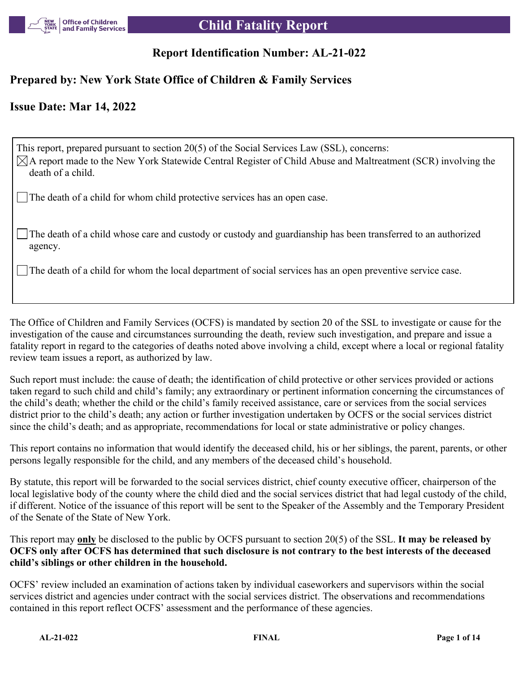

# **Report Identification Number: AL-21-022**

# **Prepared by: New York State Office of Children & Family Services**

# **Issue Date: Mar 14, 2022**

This report, prepared pursuant to section 20(5) of the Social Services Law (SSL), concerns:  $\boxtimes$ A report made to the New York Statewide Central Register of Child Abuse and Maltreatment (SCR) involving the death of a child.

The death of a child for whom child protective services has an open case.

The death of a child whose care and custody or custody and guardianship has been transferred to an authorized agency.

The death of a child for whom the local department of social services has an open preventive service case.

The Office of Children and Family Services (OCFS) is mandated by section 20 of the SSL to investigate or cause for the investigation of the cause and circumstances surrounding the death, review such investigation, and prepare and issue a fatality report in regard to the categories of deaths noted above involving a child, except where a local or regional fatality review team issues a report, as authorized by law.

Such report must include: the cause of death; the identification of child protective or other services provided or actions taken regard to such child and child's family; any extraordinary or pertinent information concerning the circumstances of the child's death; whether the child or the child's family received assistance, care or services from the social services district prior to the child's death; any action or further investigation undertaken by OCFS or the social services district since the child's death; and as appropriate, recommendations for local or state administrative or policy changes.

This report contains no information that would identify the deceased child, his or her siblings, the parent, parents, or other persons legally responsible for the child, and any members of the deceased child's household.

By statute, this report will be forwarded to the social services district, chief county executive officer, chairperson of the local legislative body of the county where the child died and the social services district that had legal custody of the child, if different. Notice of the issuance of this report will be sent to the Speaker of the Assembly and the Temporary President of the Senate of the State of New York.

This report may **only** be disclosed to the public by OCFS pursuant to section 20(5) of the SSL. **It may be released by OCFS only after OCFS has determined that such disclosure is not contrary to the best interests of the deceased child's siblings or other children in the household.**

OCFS' review included an examination of actions taken by individual caseworkers and supervisors within the social services district and agencies under contract with the social services district. The observations and recommendations contained in this report reflect OCFS' assessment and the performance of these agencies.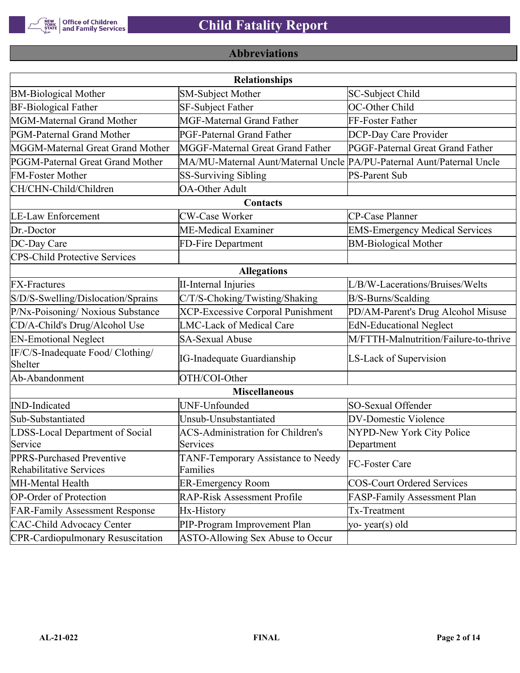

# **Abbreviations**

|                                                      | <b>Relationships</b>                                                  |                                       |
|------------------------------------------------------|-----------------------------------------------------------------------|---------------------------------------|
| <b>BM-Biological Mother</b>                          | <b>SM-Subject Mother</b>                                              | SC-Subject Child                      |
| <b>BF-Biological Father</b>                          | <b>SF-Subject Father</b>                                              | OC-Other Child                        |
| MGM-Maternal Grand Mother                            | <b>MGF-Maternal Grand Father</b>                                      | FF-Foster Father                      |
| PGM-Paternal Grand Mother                            | PGF-Paternal Grand Father                                             | DCP-Day Care Provider                 |
| MGGM-Maternal Great Grand Mother                     | MGGF-Maternal Great Grand Father                                      | PGGF-Paternal Great Grand Father      |
| PGGM-Paternal Great Grand Mother                     | MA/MU-Maternal Aunt/Maternal Uncle PA/PU-Paternal Aunt/Paternal Uncle |                                       |
| <b>FM-Foster Mother</b>                              | <b>SS-Surviving Sibling</b>                                           | <b>PS-Parent Sub</b>                  |
| CH/CHN-Child/Children                                | <b>OA-Other Adult</b>                                                 |                                       |
|                                                      | Contacts                                                              |                                       |
| <b>LE-Law Enforcement</b>                            | <b>CW-Case Worker</b>                                                 | CP-Case Planner                       |
| Dr.-Doctor                                           | ME-Medical Examiner                                                   | <b>EMS-Emergency Medical Services</b> |
| DC-Day Care                                          | FD-Fire Department                                                    | <b>BM-Biological Mother</b>           |
| <b>CPS-Child Protective Services</b>                 |                                                                       |                                       |
|                                                      | <b>Allegations</b>                                                    |                                       |
| <b>FX-Fractures</b>                                  | <b>II-Internal Injuries</b>                                           | L/B/W-Lacerations/Bruises/Welts       |
| S/D/S-Swelling/Dislocation/Sprains                   | C/T/S-Choking/Twisting/Shaking                                        | B/S-Burns/Scalding                    |
| P/Nx-Poisoning/ Noxious Substance                    | <b>XCP-Excessive Corporal Punishment</b>                              | PD/AM-Parent's Drug Alcohol Misuse    |
| CD/A-Child's Drug/Alcohol Use                        | <b>LMC-Lack of Medical Care</b>                                       | <b>EdN-Educational Neglect</b>        |
| <b>EN-Emotional Neglect</b>                          | <b>SA-Sexual Abuse</b>                                                | M/FTTH-Malnutrition/Failure-to-thrive |
| IF/C/S-Inadequate Food/ Clothing/<br>Shelter         | <b>IG-Inadequate Guardianship</b>                                     | LS-Lack of Supervision                |
| Ab-Abandonment                                       | OTH/COI-Other                                                         |                                       |
|                                                      | <b>Miscellaneous</b>                                                  |                                       |
| <b>IND-Indicated</b>                                 | UNF-Unfounded                                                         | SO-Sexual Offender                    |
| Sub-Substantiated                                    | Unsub-Unsubstantiated                                                 | <b>DV-Domestic Violence</b>           |
| LDSS-Local Department of Social                      | <b>ACS-Administration for Children's</b>                              | NYPD-New York City Police             |
| Service                                              | Services                                                              | Department                            |
| PPRS-Purchased Preventive<br>Rehabilitative Services | TANF-Temporary Assistance to Needy<br>Families                        | FC-Foster Care                        |
| MH-Mental Health                                     | <b>ER-Emergency Room</b>                                              | <b>COS-Court Ordered Services</b>     |
| <b>OP-Order of Protection</b>                        | <b>RAP-Risk Assessment Profile</b>                                    | FASP-Family Assessment Plan           |
| <b>FAR-Family Assessment Response</b>                | Hx-History                                                            | Tx-Treatment                          |
| <b>CAC-Child Advocacy Center</b>                     | PIP-Program Improvement Plan                                          | yo-year(s) old                        |
| <b>CPR-Cardiopulmonary Resuscitation</b>             | ASTO-Allowing Sex Abuse to Occur                                      |                                       |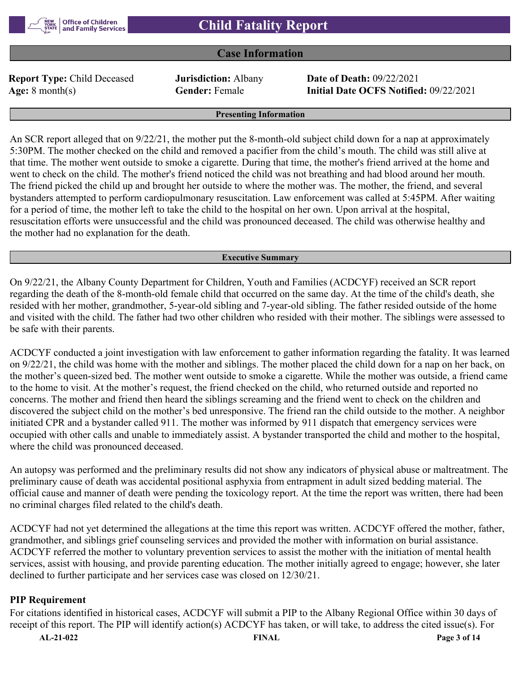

### **Case Information**

**Report Type:** Child Deceased **Jurisdiction:** Albany **Date of Death:** 09/22/2021

**Age:** 8 month(s) **Gender:** Female **Initial Date OCFS Notified:** 09/22/2021

#### **Presenting Information**

An SCR report alleged that on 9/22/21, the mother put the 8-month-old subject child down for a nap at approximately 5:30PM. The mother checked on the child and removed a pacifier from the child's mouth. The child was still alive at that time. The mother went outside to smoke a cigarette. During that time, the mother's friend arrived at the home and went to check on the child. The mother's friend noticed the child was not breathing and had blood around her mouth. The friend picked the child up and brought her outside to where the mother was. The mother, the friend, and several bystanders attempted to perform cardiopulmonary resuscitation. Law enforcement was called at 5:45PM. After waiting for a period of time, the mother left to take the child to the hospital on her own. Upon arrival at the hospital, resuscitation efforts were unsuccessful and the child was pronounced deceased. The child was otherwise healthy and the mother had no explanation for the death.

#### **Executive Summary**

On 9/22/21, the Albany County Department for Children, Youth and Families (ACDCYF) received an SCR report regarding the death of the 8-month-old female child that occurred on the same day. At the time of the child's death, she resided with her mother, grandmother, 5-year-old sibling and 7-year-old sibling. The father resided outside of the home and visited with the child. The father had two other children who resided with their mother. The siblings were assessed to be safe with their parents.

ACDCYF conducted a joint investigation with law enforcement to gather information regarding the fatality. It was learned on 9/22/21, the child was home with the mother and siblings. The mother placed the child down for a nap on her back, on the mother's queen-sized bed. The mother went outside to smoke a cigarette. While the mother was outside, a friend came to the home to visit. At the mother's request, the friend checked on the child, who returned outside and reported no concerns. The mother and friend then heard the siblings screaming and the friend went to check on the children and discovered the subject child on the mother's bed unresponsive. The friend ran the child outside to the mother. A neighbor initiated CPR and a bystander called 911. The mother was informed by 911 dispatch that emergency services were occupied with other calls and unable to immediately assist. A bystander transported the child and mother to the hospital, where the child was pronounced deceased.

An autopsy was performed and the preliminary results did not show any indicators of physical abuse or maltreatment. The preliminary cause of death was accidental positional asphyxia from entrapment in adult sized bedding material. The official cause and manner of death were pending the toxicology report. At the time the report was written, there had been no criminal charges filed related to the child's death.

ACDCYF had not yet determined the allegations at the time this report was written. ACDCYF offered the mother, father, grandmother, and siblings grief counseling services and provided the mother with information on burial assistance. ACDCYF referred the mother to voluntary prevention services to assist the mother with the initiation of mental health services, assist with housing, and provide parenting education. The mother initially agreed to engage; however, she later declined to further participate and her services case was closed on 12/30/21.

#### **PIP Requirement**

For citations identified in historical cases, ACDCYF will submit a PIP to the Albany Regional Office within 30 days of receipt of this report. The PIP will identify action(s) ACDCYF has taken, or will take, to address the cited issue(s). For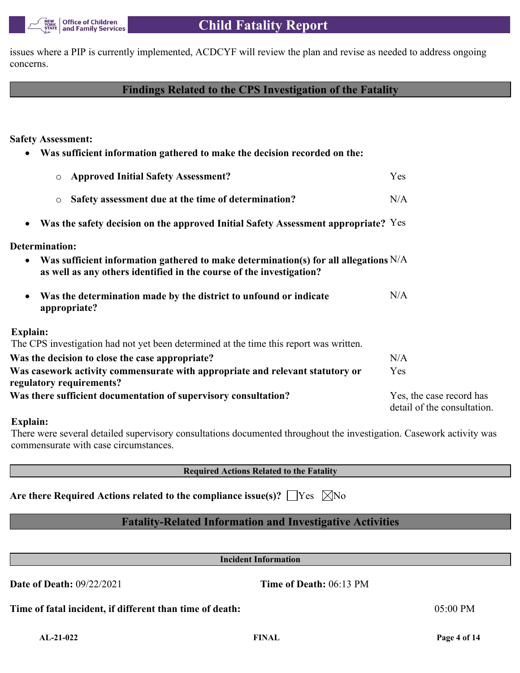issues where a PIP is currently implemented, ACDCYF will review the plan and revise as needed to address ongoing concerns.

# **Findings Related to the CPS Investigation of the Fatality**

**Safety Assessment:**

| Was sufficient information gathered to make the decision recorded on the:                                                                                                   |                                                         |
|-----------------------------------------------------------------------------------------------------------------------------------------------------------------------------|---------------------------------------------------------|
| <b>Approved Initial Safety Assessment?</b><br>$\circ$                                                                                                                       | Yes                                                     |
| Safety assessment due at the time of determination?<br>$\circ$                                                                                                              | N/A                                                     |
| Was the safety decision on the approved Initial Safety Assessment appropriate? Yes<br>$\bullet$                                                                             |                                                         |
| <b>Determination:</b>                                                                                                                                                       |                                                         |
| Was sufficient information gathered to make determination(s) for all allegations $N/A$<br>$\bullet$<br>as well as any others identified in the course of the investigation? |                                                         |
| Was the determination made by the district to unfound or indicate<br>$\bullet$<br>appropriate?                                                                              | N/A                                                     |
| <b>Explain:</b>                                                                                                                                                             |                                                         |
| The CPS investigation had not yet been determined at the time this report was written.                                                                                      |                                                         |
| Was the decision to close the case appropriate?                                                                                                                             | N/A                                                     |
| Was casework activity commensurate with appropriate and relevant statutory or<br>regulatory requirements?                                                                   | Yes                                                     |
| Was there sufficient documentation of supervisory consultation?                                                                                                             | Yes, the case record has<br>detail of the consultation. |
| Explain:                                                                                                                                                                    |                                                         |

There were several detailed supervisory consultations documented throughout the investigation. Casework activity was commensurate with case circumstances.

**Required Actions Related to the Fatality**

Are there Required Actions related to the compliance issue(s)?  $\Box$  Yes  $\Box$  No

# **Fatality-Related Information and Investigative Activities**

**Incident Information**

**Date of Death:** 09/22/2021 **Time of Death:** 06:13 PM

**Time of fatal incident, if different than time of death:** 05:00 PM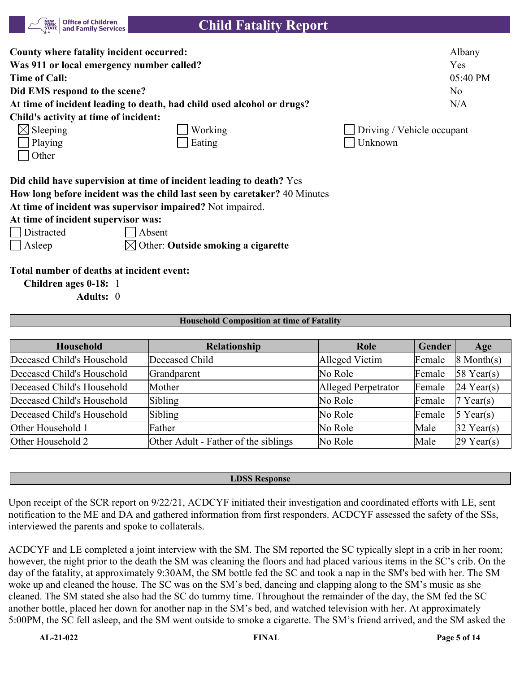| <b>Office of Children</b><br><b>NEW<br/>YORK</b><br>and Family Services<br><b>STATE</b> | <b>Child Fatality Report</b>                                                                                                                      |                            |
|-----------------------------------------------------------------------------------------|---------------------------------------------------------------------------------------------------------------------------------------------------|----------------------------|
| County where fatality incident occurred:                                                |                                                                                                                                                   | Albany                     |
| Was 911 or local emergency number called?                                               |                                                                                                                                                   | Yes                        |
| Time of Call:                                                                           |                                                                                                                                                   | 05:40 PM                   |
| Did EMS respond to the scene?                                                           |                                                                                                                                                   | N <sub>o</sub>             |
|                                                                                         | At time of incident leading to death, had child used alcohol or drugs?                                                                            | N/A                        |
| Child's activity at time of incident:                                                   |                                                                                                                                                   |                            |
| $\boxtimes$ Sleeping                                                                    | Working                                                                                                                                           | Driving / Vehicle occupant |
| Playing                                                                                 | Eating                                                                                                                                            | Unknown                    |
| Other                                                                                   |                                                                                                                                                   |                            |
|                                                                                         | Did child have supervision at time of incident leading to death? Yes<br>How long before incident was the child last seen by caretaker? 40 Minutes |                            |
|                                                                                         | At time of incident was supervisor impaired? Not impaired.                                                                                        |                            |
| At time of incident supervisor was:                                                     |                                                                                                                                                   |                            |
| Distracted                                                                              | Absent                                                                                                                                            |                            |
| Asleep                                                                                  | Other: Outside smoking a cigarette                                                                                                                |                            |

**Total number of deaths at incident event:**

**Children ages 0-18:** 1

**Adults:** 0

#### **Household Composition at time of Fatality**

| <b>Household</b>           | Relationship                         | Role                | Gender | Age                 |
|----------------------------|--------------------------------------|---------------------|--------|---------------------|
| Deceased Child's Household | Deceased Child                       | Alleged Victim      | Female | $\sqrt{8}$ Month(s) |
| Deceased Child's Household | Grandparent                          | No Role             | Female | $58$ Year(s)        |
| Deceased Child's Household | Mother                               | Alleged Perpetrator | Female | $24$ Year(s)        |
| Deceased Child's Household | Sibling                              | No Role             | Female | $7$ Year(s)         |
| Deceased Child's Household | Sibling                              | No Role             | Female | $5$ Year(s)         |
| Other Household 1          | Father                               | No Role             | Male   | $32$ Year(s)        |
| Other Household 2          | Other Adult - Father of the siblings | No Role             | Male   | $29$ Year(s)        |

#### **LDSS Response**

Upon receipt of the SCR report on 9/22/21, ACDCYF initiated their investigation and coordinated efforts with LE, sent notification to the ME and DA and gathered information from first responders. ACDCYF assessed the safety of the SSs, interviewed the parents and spoke to collaterals.

ACDCYF and LE completed a joint interview with the SM. The SM reported the SC typically slept in a crib in her room; however, the night prior to the death the SM was cleaning the floors and had placed various items in the SC's crib. On the day of the fatality, at approximately 9:30AM, the SM bottle fed the SC and took a nap in the SM's bed with her. The SM woke up and cleaned the house. The SC was on the SM's bed, dancing and clapping along to the SM's music as she cleaned. The SM stated she also had the SC do tummy time. Throughout the remainder of the day, the SM fed the SC another bottle, placed her down for another nap in the SM's bed, and watched television with her. At approximately 5:00PM, the SC fell asleep, and the SM went outside to smoke a cigarette. The SM's friend arrived, and the SM asked the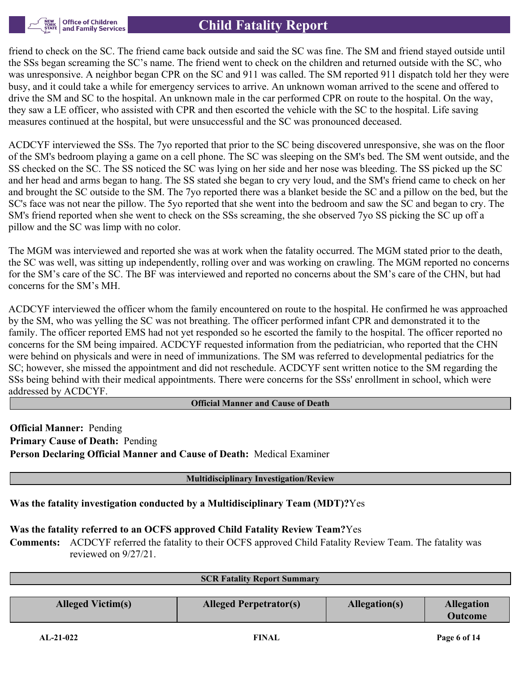

friend to check on the SC. The friend came back outside and said the SC was fine. The SM and friend stayed outside until the SSs began screaming the SC's name. The friend went to check on the children and returned outside with the SC, who was unresponsive. A neighbor began CPR on the SC and 911 was called. The SM reported 911 dispatch told her they were busy, and it could take a while for emergency services to arrive. An unknown woman arrived to the scene and offered to drive the SM and SC to the hospital. An unknown male in the car performed CPR on route to the hospital. On the way, they saw a LE officer, who assisted with CPR and then escorted the vehicle with the SC to the hospital. Life saving measures continued at the hospital, but were unsuccessful and the SC was pronounced deceased.

ACDCYF interviewed the SSs. The 7yo reported that prior to the SC being discovered unresponsive, she was on the floor of the SM's bedroom playing a game on a cell phone. The SC was sleeping on the SM's bed. The SM went outside, and the SS checked on the SC. The SS noticed the SC was lying on her side and her nose was bleeding. The SS picked up the SC and her head and arms began to hang. The SS stated she began to cry very loud, and the SM's friend came to check on her and brought the SC outside to the SM. The 7yo reported there was a blanket beside the SC and a pillow on the bed, but the SC's face was not near the pillow. The 5yo reported that she went into the bedroom and saw the SC and began to cry. The SM's friend reported when she went to check on the SSs screaming, the she observed 7yo SS picking the SC up off a pillow and the SC was limp with no color.

The MGM was interviewed and reported she was at work when the fatality occurred. The MGM stated prior to the death, the SC was well, was sitting up independently, rolling over and was working on crawling. The MGM reported no concerns for the SM's care of the SC. The BF was interviewed and reported no concerns about the SM's care of the CHN, but had concerns for the SM's MH.

ACDCYF interviewed the officer whom the family encountered on route to the hospital. He confirmed he was approached by the SM, who was yelling the SC was not breathing. The officer performed infant CPR and demonstrated it to the family. The officer reported EMS had not yet responded so he escorted the family to the hospital. The officer reported no concerns for the SM being impaired. ACDCYF requested information from the pediatrician, who reported that the CHN were behind on physicals and were in need of immunizations. The SM was referred to developmental pediatrics for the SC; however, she missed the appointment and did not reschedule. ACDCYF sent written notice to the SM regarding the SSs being behind with their medical appointments. There were concerns for the SSs' enrollment in school, which were addressed by ACDCYF.

#### **Official Manner and Cause of Death**

**Official Manner:** Pending **Primary Cause of Death:** Pending **Person Declaring Official Manner and Cause of Death:** Medical Examiner

#### **Multidisciplinary Investigation/Review**

**Was the fatality investigation conducted by a Multidisciplinary Team (MDT)?**Yes

# **Was the fatality referred to an OCFS approved Child Fatality Review Team?**Yes

**Comments:** ACDCYF referred the fatality to their OCFS approved Child Fatality Review Team. The fatality was reviewed on 9/27/21.

| <b>SCR Fatality Report Summary</b> |                               |                                     |  |  |  |
|------------------------------------|-------------------------------|-------------------------------------|--|--|--|
|                                    | Allegation(s)                 | <b>Allegation</b><br><b>Outcome</b> |  |  |  |
|                                    | <b>Alleged Perpetrator(s)</b> |                                     |  |  |  |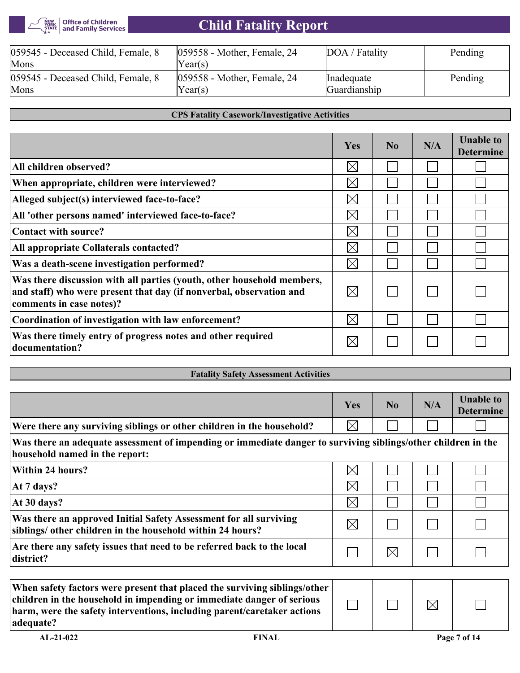#### Office of Children<br>| and Family Services NEW<br>YORK<br>STATE

# **Child Fatality Report**

| 059545 - Deceased Child, Female, 8<br>Mons | $ 059558$ - Mother, Female, 24<br>$\text{Year}(s)$ | DOA / Fatality | Pending |
|--------------------------------------------|----------------------------------------------------|----------------|---------|
| 059545 - Deceased Child, Female, 8         | $ 059558$ - Mother, Female, 24                     | Inadequate     | Pending |
| Mons                                       | $\text{Year}(s)$                                   | Guardianship   |         |

#### **CPS Fatality Casework/Investigative Activities**

|                                                                                                                                                                           | Yes         | $\bf No$ | N/A | <b>Unable to</b><br><b>Determine</b> |
|---------------------------------------------------------------------------------------------------------------------------------------------------------------------------|-------------|----------|-----|--------------------------------------|
| All children observed?                                                                                                                                                    | $\boxtimes$ |          |     |                                      |
| When appropriate, children were interviewed?                                                                                                                              | $\boxtimes$ |          |     |                                      |
| Alleged subject(s) interviewed face-to-face?                                                                                                                              | $\boxtimes$ |          |     |                                      |
| All 'other persons named' interviewed face-to-face?                                                                                                                       | $\bowtie$   |          |     |                                      |
| Contact with source?                                                                                                                                                      | $\boxtimes$ |          |     |                                      |
| All appropriate Collaterals contacted?                                                                                                                                    | $\boxtimes$ |          |     |                                      |
| Was a death-scene investigation performed?                                                                                                                                | $\bowtie$   |          |     |                                      |
| Was there discussion with all parties (youth, other household members,<br>and staff) who were present that day (if nonverbal, observation and<br>comments in case notes)? | $\boxtimes$ |          |     |                                      |
| Coordination of investigation with law enforcement?                                                                                                                       | $\bowtie$   |          |     |                                      |
| Was there timely entry of progress notes and other required<br>documentation?                                                                                             | $\boxtimes$ |          |     |                                      |

| <b>Fatality Safety Assessment Activities</b>                                                                                                    |             |          |     |                                      |
|-------------------------------------------------------------------------------------------------------------------------------------------------|-------------|----------|-----|--------------------------------------|
|                                                                                                                                                 |             |          |     |                                      |
|                                                                                                                                                 | Yes         | $\bf No$ | N/A | <b>Unable to</b><br><b>Determine</b> |
| Were there any surviving siblings or other children in the household?                                                                           | $\boxtimes$ |          |     |                                      |
| Was there an adequate assessment of impending or immediate danger to surviving siblings/other children in the<br>household named in the report: |             |          |     |                                      |
| Within 24 hours?                                                                                                                                | $\times$    |          |     |                                      |
| At 7 days?                                                                                                                                      | $\boxtimes$ |          |     |                                      |
| At 30 days?                                                                                                                                     | $\boxtimes$ |          |     |                                      |
| Was there an approved Initial Safety Assessment for all surviving<br>siblings/ other children in the household within 24 hours?                 | $\boxtimes$ |          |     |                                      |
| Are there any safety issues that need to be referred back to the local<br>district?                                                             |             | $\times$ |     |                                      |
|                                                                                                                                                 |             |          |     |                                      |
| When safety factors were present that placed the surviving siblings/other                                                                       |             |          |     |                                      |

| When safety factors were present that placed the surviving siblings/other<br>children in the household in impending or immediate danger of serious<br>harm, were the safety interventions, including parent/caretaker actions<br>adequate? |              |  | $\boxtimes$ |              |  |
|--------------------------------------------------------------------------------------------------------------------------------------------------------------------------------------------------------------------------------------------|--------------|--|-------------|--------------|--|
| $AL-21-022$                                                                                                                                                                                                                                | <b>FINAL</b> |  |             | Page 7 of 14 |  |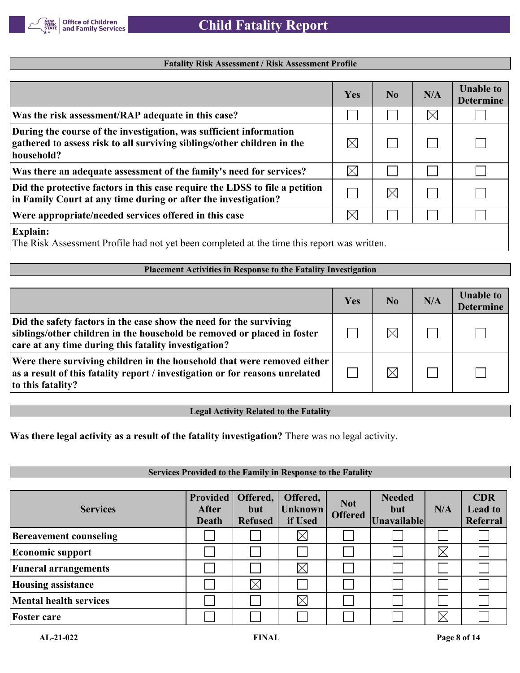

#### **Fatality Risk Assessment / Risk Assessment Profile**

|                                                                                                                                                             | <b>Yes</b> | $\bf No$ | N/A      | <b>Unable to</b><br><b>Determine</b> |
|-------------------------------------------------------------------------------------------------------------------------------------------------------------|------------|----------|----------|--------------------------------------|
| Was the risk assessment/RAP adequate in this case?                                                                                                          |            |          | $\times$ |                                      |
| During the course of the investigation, was sufficient information<br>gathered to assess risk to all surviving siblings/other children in the<br>household? | IХI        |          |          |                                      |
| Was there an adequate assessment of the family's need for services?                                                                                         | $\bowtie$  |          |          |                                      |
| Did the protective factors in this case require the LDSS to file a petition<br>in Family Court at any time during or after the investigation?               |            |          |          |                                      |
| Were appropriate/needed services offered in this case                                                                                                       | $\times$   |          |          |                                      |
| <b>Explain:</b>                                                                                                                                             |            |          |          |                                      |

The Risk Assessment Profile had not yet been completed at the time this report was written.

#### **Placement Activities in Response to the Fatality Investigation**

|                                                                                                                                                                                                       | Yes | N <sub>0</sub> | N/A | <b>Unable to</b><br><b>Determine</b> |
|-------------------------------------------------------------------------------------------------------------------------------------------------------------------------------------------------------|-----|----------------|-----|--------------------------------------|
| Did the safety factors in the case show the need for the surviving<br>siblings/other children in the household be removed or placed in foster<br>care at any time during this fatality investigation? |     | $\times$       |     |                                      |
| Were there surviving children in the household that were removed either<br>as a result of this fatality report / investigation or for reasons unrelated<br>to this fatality?                          |     | $\times$       |     |                                      |

#### **Legal Activity Related to the Fatality**

**Was there legal activity as a result of the fatality investigation?** There was no legal activity.

#### **Services Provided to the Family in Response to the Fatality Provided Offered, Needed CDR Offered, Not Services After but Unknown but N/A Lead to Offered Refused if Used Unavailable Referral Death**  $\boxtimes$ **Bereavement counseling**  $\mathbf{L}$  $\boxtimes$ **Economic support**  $\times$ **Funeral arrangements**  $\boxtimes$ **Housing assistance**  $\times$  $\Box$  $\mathbf{L}$  $\sim$ **Mental health services** l a  $\boxtimes$ **Foster care**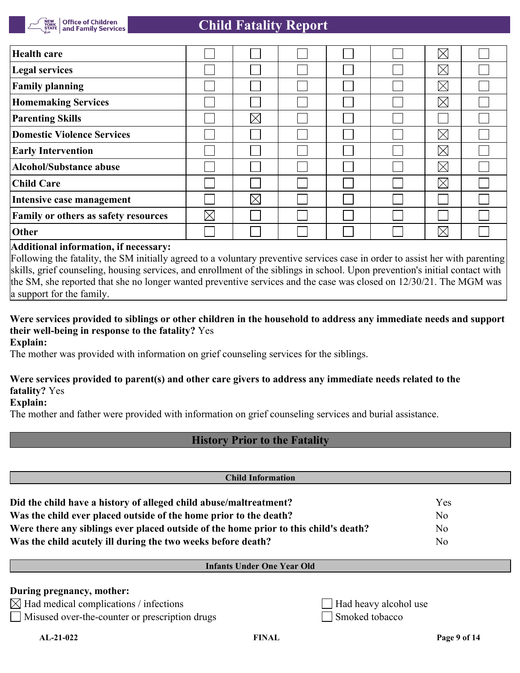| <b>Health care</b>                          |             |          |  | $\boxtimes$ |  |
|---------------------------------------------|-------------|----------|--|-------------|--|
| <b>Legal services</b>                       |             |          |  | $\boxtimes$ |  |
| <b>Family planning</b>                      |             |          |  | $\boxtimes$ |  |
| <b>Homemaking Services</b>                  |             |          |  | $\boxtimes$ |  |
| <b>Parenting Skills</b>                     |             | $\times$ |  |             |  |
| Domestic Violence Services                  |             |          |  | $\boxtimes$ |  |
| <b>Early Intervention</b>                   |             |          |  | $\boxtimes$ |  |
| Alcohol/Substance abuse                     |             |          |  | $\boxtimes$ |  |
| <b>Child Care</b>                           |             |          |  | $\boxtimes$ |  |
| Intensive case management                   |             | $\times$ |  |             |  |
| <b>Family or others as safety resources</b> | $\boxtimes$ |          |  |             |  |
| Other                                       |             |          |  | $\times$    |  |

#### **Additional information, if necessary:**

Following the fatality, the SM initially agreed to a voluntary preventive services case in order to assist her with parenting skills, grief counseling, housing services, and enrollment of the siblings in school. Upon prevention's initial contact with the SM, she reported that she no longer wanted preventive services and the case was closed on 12/30/21. The MGM was a support for the family.

# **Were services provided to siblings or other children in the household to address any immediate needs and support their well-being in response to the fatality?** Yes

**Explain:**

The mother was provided with information on grief counseling services for the siblings.

### **Were services provided to parent(s) and other care givers to address any immediate needs related to the fatality?** Yes

**Explain:**

The mother and father were provided with information on grief counseling services and burial assistance.

# **History Prior to the Fatality**

| <b>Child Information</b>                                                             |     |  |  |
|--------------------------------------------------------------------------------------|-----|--|--|
| Did the child have a history of alleged child abuse/maltreatment?                    | Yes |  |  |
| Was the child ever placed outside of the home prior to the death?                    | No  |  |  |
| Were there any siblings ever placed outside of the home prior to this child's death? | No  |  |  |
| Was the child acutely ill during the two weeks before death?                         | No  |  |  |

#### **Infants Under One Year Old**

#### **During pregnancy, mother:**

 $\boxtimes$  Had medical complications / infections  $\Box$  Had heavy alcohol use

Misused over-the-counter or prescription drugs Smoked tobacco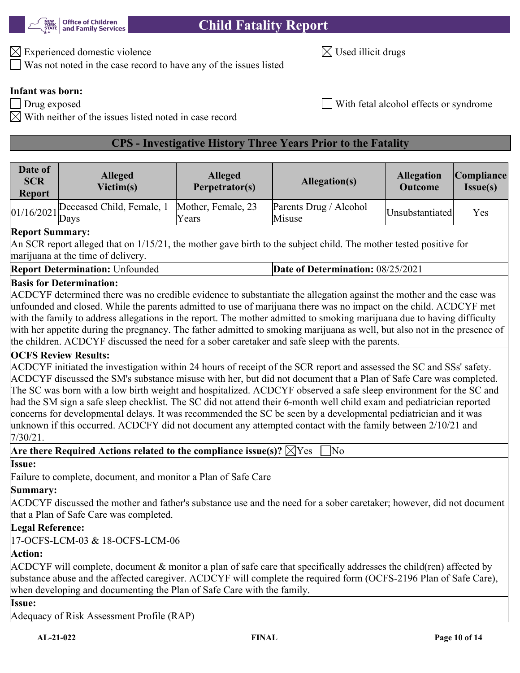

 $\boxtimes$  Experienced domestic violence  $\boxtimes$  Used illicit drugs

Was not noted in the case record to have any of the issues listed

# **Infant was born:**

Drug exposed **Exposed** Exposed Exposed Exposed Exposed Exposed Exposed Exposed Exposed Exposed Exposed Exposed Exposed Exposed Exposed Exposed Exposed Exposed Exposed Exposed Exposed Exposed Exposed Exposed Exposed Exposed

With neither of the issues listed noted in case record

# **CPS - Investigative History Three Years Prior to the Fatality**

| Date of<br><b>SCR</b><br><b>Report</b> | <b>Alleged</b><br>Victim(s) | <b>Alleged</b><br>Perpetrator(s) | Allegation(s)                    | <b>Allegation</b><br><b>Outcome</b> | Compliance <br>$Issue(s)$ |
|----------------------------------------|-----------------------------|----------------------------------|----------------------------------|-------------------------------------|---------------------------|
| $1/16/2021$ Days                       | Deceased Child, Female, 1   | Mother, Female, 23<br>'Years     | Parents Drug / Alcohol<br>Misuse | Unsubstantiated                     | Yes                       |

#### **Report Summary:**

An SCR report alleged that on 1/15/21, the mother gave birth to the subject child. The mother tested positive for marijuana at the time of delivery.

| <b>Report Determination: Unfounded</b> | <b>Date of Determination: 08/25/2021</b> |
|----------------------------------------|------------------------------------------|
|----------------------------------------|------------------------------------------|

#### **Basis for Determination:**

ACDCYF determined there was no credible evidence to substantiate the allegation against the mother and the case was unfounded and closed. While the parents admitted to use of marijuana there was no impact on the child. ACDCYF met with the family to address allegations in the report. The mother admitted to smoking marijuana due to having difficulty with her appetite during the pregnancy. The father admitted to smoking marijuana as well, but also not in the presence of the children. ACDCYF discussed the need for a sober caretaker and safe sleep with the parents.

#### **OCFS Review Results:**

ACDCYF initiated the investigation within 24 hours of receipt of the SCR report and assessed the SC and SSs' safety. ACDCYF discussed the SM's substance misuse with her, but did not document that a Plan of Safe Care was completed. The SC was born with a low birth weight and hospitalized. ACDCYF observed a safe sleep environment for the SC and had the SM sign a safe sleep checklist. The SC did not attend their 6-month well child exam and pediatrician reported concerns for developmental delays. It was recommended the SC be seen by a developmental pediatrician and it was unknown if this occurred. ACDCFY did not document any attempted contact with the family between 2/10/21 and 7/30/21.

|--|--|--|--|--|--|

#### **Issue:**

Failure to complete, document, and monitor a Plan of Safe Care

# **Summary:**

ACDCYF discussed the mother and father's substance use and the need for a sober caretaker; however, did not document that a Plan of Safe Care was completed.

#### **Legal Reference:**

17-OCFS-LCM-03 & 18-OCFS-LCM-06

#### **Action:**

ACDCYF will complete, document & monitor a plan of safe care that specifically addresses the child(ren) affected by substance abuse and the affected caregiver. ACDCYF will complete the required form (OCFS-2196 Plan of Safe Care), when developing and documenting the Plan of Safe Care with the family.

**Issue:**

Adequacy of Risk Assessment Profile (RAP)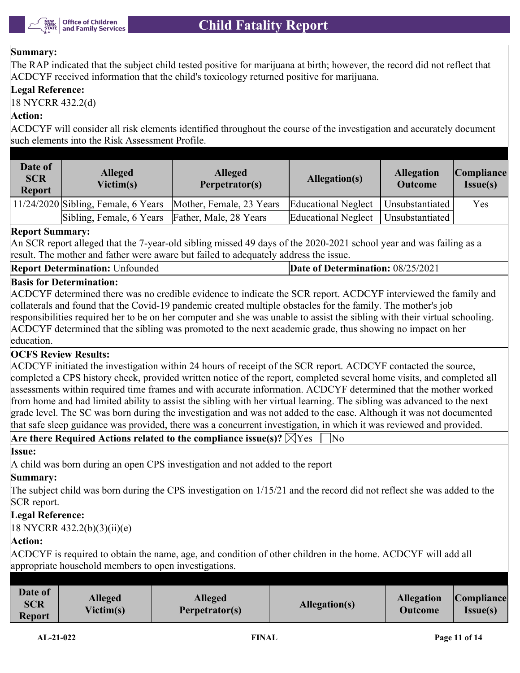

#### **Summary:**

The RAP indicated that the subject child tested positive for marijuana at birth; however, the record did not reflect that ACDCYF received information that the child's toxicology returned positive for marijuana.

#### **Legal Reference:**

18 NYCRR 432.2(d)

#### **Action:**

ACDCYF will consider all risk elements identified throughout the course of the investigation and accurately document such elements into the Risk Assessment Profile.

| Date of<br><b>SCR</b><br><b>Report</b> | <b>Alleged</b><br>Victim(s)                     | <b>Alleged</b><br>Perpetrator(s) | Allegation(s)       | <b>Allegation</b><br><b>Outcome</b> | Compliance <br>Issue(s) |
|----------------------------------------|-------------------------------------------------|----------------------------------|---------------------|-------------------------------------|-------------------------|
|                                        | $11/24/2020$ Sibling, Female, 6 Years           | Mother, Female, 23 Years         | Educational Neglect | Unsubstantiated                     | Yes                     |
|                                        | Sibling, Female, 6 Years Father, Male, 28 Years |                                  | Educational Neglect | Unsubstantiated                     |                         |

#### **Report Summary:**

An SCR report alleged that the 7-year-old sibling missed 49 days of the 2020-2021 school year and was failing as a result. The mother and father were aware but failed to adequately address the issue.

#### **Basis for Determination:**

ACDCYF determined there was no credible evidence to indicate the SCR report. ACDCYF interviewed the family and collaterals and found that the Covid-19 pandemic created multiple obstacles for the family. The mother's job responsibilities required her to be on her computer and she was unable to assist the sibling with their virtual schooling. ACDCYF determined that the sibling was promoted to the next academic grade, thus showing no impact on her education.

#### **OCFS Review Results:**

ACDCYF initiated the investigation within 24 hours of receipt of the SCR report. ACDCYF contacted the source, completed a CPS history check, provided written notice of the report, completed several home visits, and completed all assessments within required time frames and with accurate information. ACDCYF determined that the mother worked from home and had limited ability to assist the sibling with her virtual learning. The sibling was advanced to the next grade level. The SC was born during the investigation and was not added to the case. Although it was not documented that safe sleep guidance was provided, there was a concurrent investigation, in which it was reviewed and provided.

|  | Are there Required Actions related to the compliance issue(s)? $\boxtimes$ Yes $\Box$ No |  |  |  |
|--|------------------------------------------------------------------------------------------|--|--|--|
|--|------------------------------------------------------------------------------------------|--|--|--|

#### **Issue:**

A child was born during an open CPS investigation and not added to the report

#### **Summary:**

The subject child was born during the CPS investigation on 1/15/21 and the record did not reflect she was added to the SCR report.

#### **Legal Reference:**

18 NYCRR 432.2(b)(3)(ii)(e)

#### **Action:**

ACDCYF is required to obtain the name, age, and condition of other children in the home. ACDCYF will add all appropriate household members to open investigations.

| <b>Report</b> |
|---------------|
|---------------|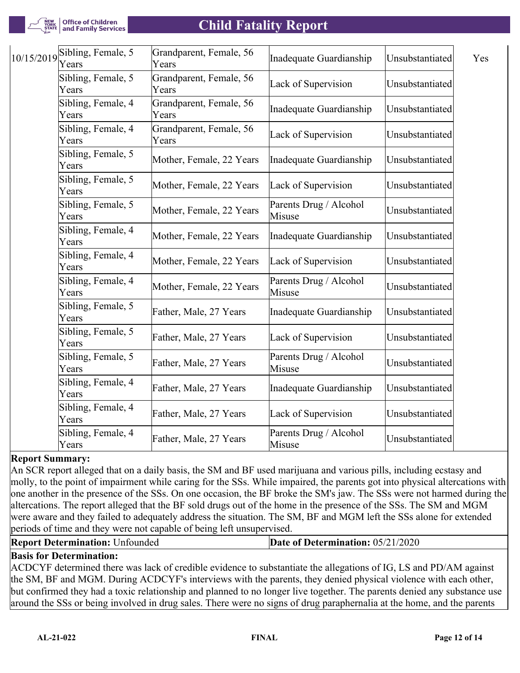

| 10/15/2019 | Sibling, Female, 5<br>Years | Grandparent, Female, 56<br>Years | Inadequate Guardianship          | Unsubstantiated | Yes |
|------------|-----------------------------|----------------------------------|----------------------------------|-----------------|-----|
|            | Sibling, Female, 5<br>Years | Grandparent, Female, 56<br>Years | Lack of Supervision              | Unsubstantiated |     |
|            | Sibling, Female, 4<br>Years | Grandparent, Female, 56<br>Years | Inadequate Guardianship          | Unsubstantiated |     |
|            | Sibling, Female, 4<br>Years | Grandparent, Female, 56<br>Years | Lack of Supervision              | Unsubstantiated |     |
|            | Sibling, Female, 5<br>Years | Mother, Female, 22 Years         | Inadequate Guardianship          | Unsubstantiated |     |
|            | Sibling, Female, 5<br>Years | Mother, Female, 22 Years         | Lack of Supervision              | Unsubstantiated |     |
|            | Sibling, Female, 5<br>Years | Mother, Female, 22 Years         | Parents Drug / Alcohol<br>Misuse | Unsubstantiated |     |
|            | Sibling, Female, 4<br>Years | Mother, Female, 22 Years         | Inadequate Guardianship          | Unsubstantiated |     |
|            | Sibling, Female, 4<br>Years | Mother, Female, 22 Years         | Lack of Supervision              | Unsubstantiated |     |
|            | Sibling, Female, 4<br>Years | Mother, Female, 22 Years         | Parents Drug / Alcohol<br>Misuse | Unsubstantiated |     |
|            | Sibling, Female, 5<br>Years | Father, Male, 27 Years           | Inadequate Guardianship          | Unsubstantiated |     |
|            | Sibling, Female, 5<br>Years | Father, Male, 27 Years           | Lack of Supervision              | Unsubstantiated |     |
|            | Sibling, Female, 5<br>Years | Father, Male, 27 Years           | Parents Drug / Alcohol<br>Misuse | Unsubstantiated |     |
|            | Sibling, Female, 4<br>Years | Father, Male, 27 Years           | Inadequate Guardianship          | Unsubstantiated |     |
|            | Sibling, Female, 4<br>Years | Father, Male, 27 Years           | Lack of Supervision              | Unsubstantiated |     |
|            | Sibling, Female, 4<br>Years | Father, Male, 27 Years           | Parents Drug / Alcohol<br>Misuse | Unsubstantiated |     |

#### **Report Summary:**

An SCR report alleged that on a daily basis, the SM and BF used marijuana and various pills, including ecstasy and molly, to the point of impairment while caring for the SSs. While impaired, the parents got into physical altercations with one another in the presence of the SSs. On one occasion, the BF broke the SM's jaw. The SSs were not harmed during the altercations. The report alleged that the BF sold drugs out of the home in the presence of the SSs. The SM and MGM were aware and they failed to adequately address the situation. The SM, BF and MGM left the SSs alone for extended periods of time and they were not capable of being left unsupervised.

| <b>Report Determination: Unfounded</b> |  |
|----------------------------------------|--|
|----------------------------------------|--|

```
Date of Determination: 05/21/2020
```
#### **Basis for Determination:**

ACDCYF determined there was lack of credible evidence to substantiate the allegations of IG, LS and PD/AM against the SM, BF and MGM. During ACDCYF's interviews with the parents, they denied physical violence with each other, but confirmed they had a toxic relationship and planned to no longer live together. The parents denied any substance use around the SSs or being involved in drug sales. There were no signs of drug paraphernalia at the home, and the parents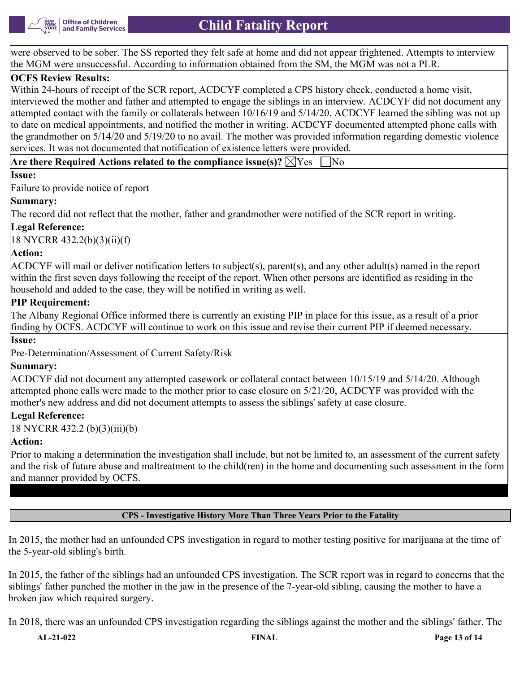

were observed to be sober. The SS reported they felt safe at home and did not appear frightened. Attempts to interview the MGM were unsuccessful. According to information obtained from the SM, the MGM was not a PLR.

### **OCFS Review Results:**

Within 24-hours of receipt of the SCR report, ACDCYF completed a CPS history check, conducted a home visit, interviewed the mother and father and attempted to engage the siblings in an interview. ACDCYF did not document any attempted contact with the family or collaterals between 10/16/19 and 5/14/20. ACDCYF learned the sibling was not up to date on medical appointments, and notified the mother in writing. ACDCYF documented attempted phone calls with the grandmother on 5/14/20 and 5/19/20 to no avail. The mother was provided information regarding domestic violence services. It was not documented that notification of existence letters were provided.

**Are there Required Actions related to the compliance issue(s)?**  $\boxtimes$  Yes  $\Box$  No

#### **Issue:**

Failure to provide notice of report

#### **Summary:**

The record did not reflect that the mother, father and grandmother were notified of the SCR report in writing.

#### **Legal Reference:**

18 NYCRR 432.2(b)(3)(ii)(f)

#### **Action:**

ACDCYF will mail or deliver notification letters to subject(s), parent(s), and any other adult(s) named in the report within the first seven days following the receipt of the report. When other persons are identified as residing in the household and added to the case, they will be notified in writing as well.

#### **PIP Requirement:**

The Albany Regional Office informed there is currently an existing PIP in place for this issue, as a result of a prior finding by OCFS. ACDCYF will continue to work on this issue and revise their current PIP if deemed necessary.

#### **Issue:**

Pre-Determination/Assessment of Current Safety/Risk

#### **Summary:**

ACDCYF did not document any attempted casework or collateral contact between 10/15/19 and 5/14/20. Although attempted phone calls were made to the mother prior to case closure on 5/21/20, ACDCYF was provided with the mother's new address and did not document attempts to assess the siblings' safety at case closure.

#### **Legal Reference:**

18 NYCRR 432.2 (b)(3)(iii)(b)

#### **Action:**

Prior to making a determination the investigation shall include, but not be limited to, an assessment of the current safety and the risk of future abuse and maltreatment to the child(ren) in the home and documenting such assessment in the form and manner provided by OCFS.

**CPS - Investigative History More Than Three Years Prior to the Fatality**

In 2015, the mother had an unfounded CPS investigation in regard to mother testing positive for marijuana at the time of the 5-year-old sibling's birth.

In 2015, the father of the siblings had an unfounded CPS investigation. The SCR report was in regard to concerns that the siblings' father punched the mother in the jaw in the presence of the 7-year-old sibling, causing the mother to have a broken jaw which required surgery.

In 2018, there was an unfounded CPS investigation regarding the siblings against the mother and the siblings' father. The